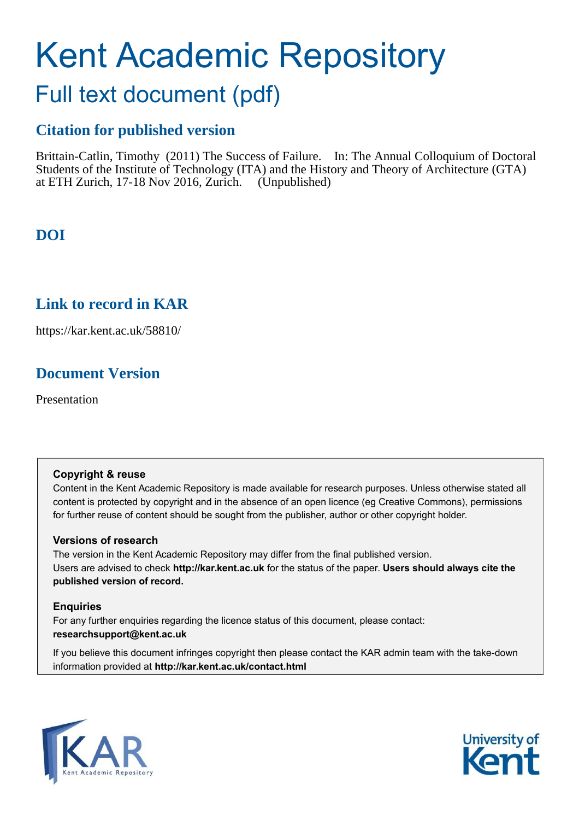# Kent Academic Repository

## Full text document (pdf)

## **Citation for published version**

Brittain-Catlin, Timothy (2011) The Success of Failure. In: The Annual Colloquium of Doctoral Students of the Institute of Technology (ITA) and the History and Theory of Architecture (GTA) at ETH Zurich, 17-18 Nov 2016, Zurich. (Unpublished)

## **DOI**

## **Link to record in KAR**

https://kar.kent.ac.uk/58810/

## **Document Version**

Presentation

#### **Copyright & reuse**

Content in the Kent Academic Repository is made available for research purposes. Unless otherwise stated all content is protected by copyright and in the absence of an open licence (eg Creative Commons), permissions for further reuse of content should be sought from the publisher, author or other copyright holder.

#### **Versions of research**

The version in the Kent Academic Repository may differ from the final published version. Users are advised to check **http://kar.kent.ac.uk** for the status of the paper. **Users should always cite the published version of record.**

#### **Enquiries**

For any further enquiries regarding the licence status of this document, please contact: **researchsupport@kent.ac.uk**

If you believe this document infringes copyright then please contact the KAR admin team with the take-down information provided at **http://kar.kent.ac.uk/contact.html**



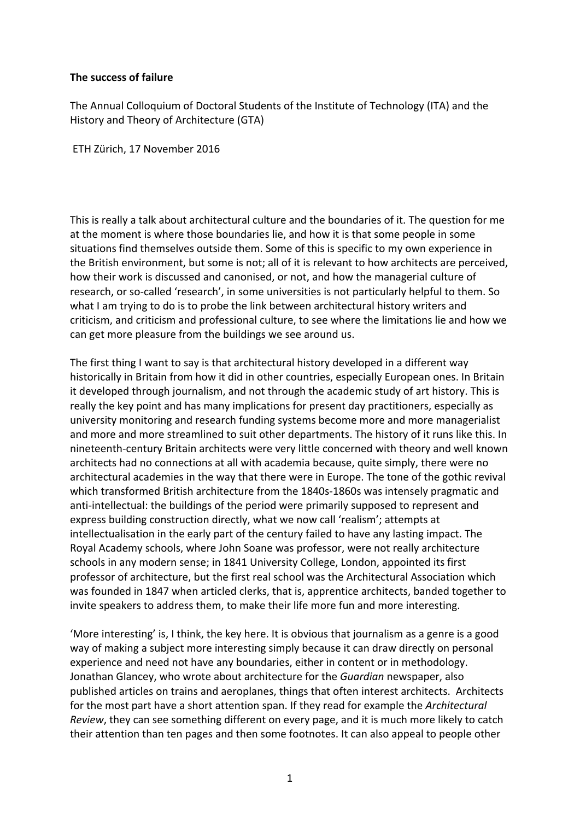#### **The success of failure**

The Annual Colloquium of Doctoral Students of the Institute of Technology (ITA) and the History and Theory of Architecture (GTA)

ETH Zürich, 17 November 2016

This is really a talk about architectural culture and the boundaries of it. The question for me at the moment is where those boundaries lie, and how it is that some people in some situations find themselves outside them. Some of this is specific to my own experience in the British environment, but some is not; all of it is relevant to how architects are perceived, how their work is discussed and canonised, or not, and how the managerial culture of research, or so-called 'research', in some universities is not particularly helpful to them. So what I am trying to do is to probe the link between architectural history writers and criticism, and criticism and professional culture, to see where the limitations lie and how we can get more pleasure from the buildings we see around us.

The first thing I want to say is that architectural history developed in a different way historically in Britain from how it did in other countries, especially European ones. In Britain it developed through journalism, and not through the academic study of art history. This is really the key point and has many implications for present day practitioners, especially as university monitoring and research funding systems become more and more managerialist and more and more streamlined to suit other departments. The history of it runs like this. In nineteenth-century Britain architects were very little concerned with theory and well known architects had no connections at all with academia because, quite simply, there were no architectural academies in the way that there were in Europe. The tone of the gothic revival which transformed British architecture from the 1840s-1860s was intensely pragmatic and anti-intellectual: the buildings of the period were primarily supposed to represent and express building construction directly, what we now call 'realism'; attempts at intellectualisation in the early part of the century failed to have any lasting impact. The Royal Academy schools, where John Soane was professor, were not really architecture schools in any modern sense; in 1841 University College, London, appointed its first professor of architecture, but the first real school was the Architectural Association which was founded in 1847 when articled clerks, that is, apprentice architects, banded together to invite speakers to address them, to make their life more fun and more interesting.

'More interesting' is, I think, the key here. It is obvious that journalism as a genre is a good way of making a subject more interesting simply because it can draw directly on personal experience and need not have any boundaries, either in content or in methodology. Jonathan Glancey, who wrote about architecture for the *Guardian* newspaper, also published articles on trains and aeroplanes, things that often interest architects. Architects for the most part have a short attention span. If they read for example the *Architectural Review*, they can see something different on every page, and it is much more likely to catch their attention than ten pages and then some footnotes. It can also appeal to people other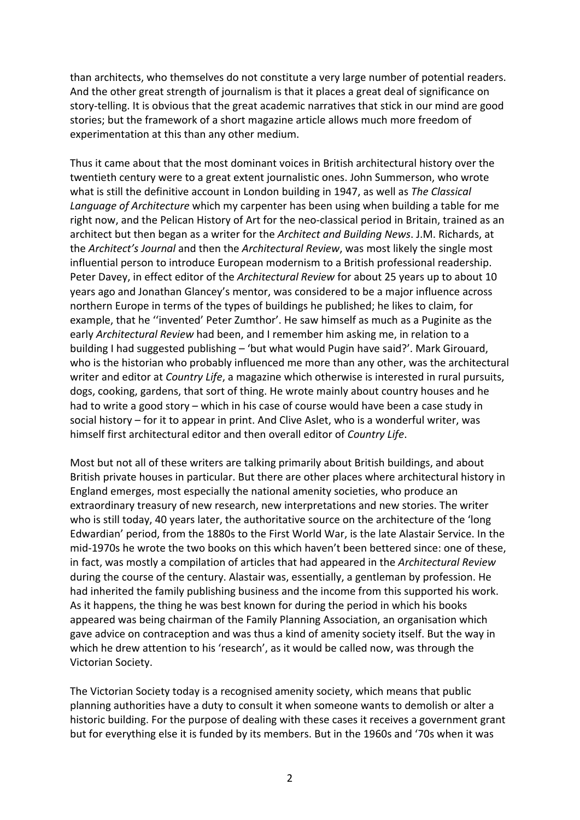than architects, who themselves do not constitute a very large number of potential readers. And the other great strength of journalism is that it places a great deal of significance on story-telling. It is obvious that the great academic narratives that stick in our mind are good stories; but the framework of a short magazine article allows much more freedom of experimentation at this than any other medium.

Thus it came about that the most dominant voices in British architectural history over the twentieth century were to a great extent journalistic ones. John Summerson, who wrote what is still the definitive account in London building in 1947, as well as The Classical Language of Architecture which my carpenter has been using when building a table for me right now, and the Pelican History of Art for the neo-classical period in Britain, trained as an architect but then began as a writer for the *Architect and Building News*. J.M. Richards, at the *Architect's Journal* and then the *Architectural Review*, was most likely the single most influential person to introduce European modernism to a British professional readership. Peter Davey, in effect editor of the *Architectural Review* for about 25 years up to about 10 years ago and Jonathan Glancey's mentor, was considered to be a major influence across northern Europe in terms of the types of buildings he published; he likes to claim, for example, that he "invented' Peter Zumthor'. He saw himself as much as a Puginite as the early *Architectural Review* had been, and I remember him asking me, in relation to a building I had suggested publishing  $-$  'but what would Pugin have said?'. Mark Girouard, who is the historian who probably influenced me more than any other, was the architectural writer and editor at *Country Life*, a magazine which otherwise is interested in rural pursuits, dogs, cooking, gardens, that sort of thing. He wrote mainly about country houses and he had to write a good story – which in his case of course would have been a case study in social history – for it to appear in print. And Clive Aslet, who is a wonderful writer, was himself first architectural editor and then overall editor of *Country Life*.

Most but not all of these writers are talking primarily about British buildings, and about British private houses in particular. But there are other places where architectural history in England emerges, most especially the national amenity societies, who produce an extraordinary treasury of new research, new interpretations and new stories. The writer who is still today, 40 years later, the authoritative source on the architecture of the 'long Edwardian' period, from the 1880s to the First World War, is the late Alastair Service. In the mid-1970s he wrote the two books on this which haven't been bettered since: one of these, in fact, was mostly a compilation of articles that had appeared in the Architectural Review during the course of the century. Alastair was, essentially, a gentleman by profession. He had inherited the family publishing business and the income from this supported his work. As it happens, the thing he was best known for during the period in which his books appeared was being chairman of the Family Planning Association, an organisation which gave advice on contraception and was thus a kind of amenity society itself. But the way in which he drew attention to his 'research', as it would be called now, was through the Victorian Society.

The Victorian Society today is a recognised amenity society, which means that public planning authorities have a duty to consult it when someone wants to demolish or alter a historic building. For the purpose of dealing with these cases it receives a government grant but for everything else it is funded by its members. But in the 1960s and '70s when it was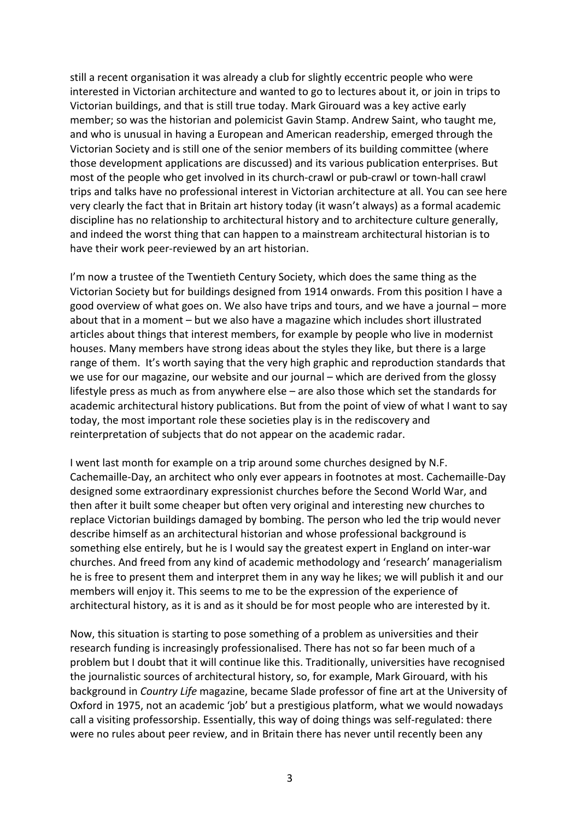still a recent organisation it was already a club for slightly eccentric people who were interested in Victorian architecture and wanted to go to lectures about it, or join in trips to Victorian buildings, and that is still true today. Mark Girouard was a key active early member; so was the historian and polemicist Gavin Stamp. Andrew Saint, who taught me, and who is unusual in having a European and American readership, emerged through the Victorian Society and is still one of the senior members of its building committee (where those development applications are discussed) and its various publication enterprises. But most of the people who get involved in its church-crawl or pub-crawl or town-hall crawl trips and talks have no professional interest in Victorian architecture at all. You can see here very clearly the fact that in Britain art history today (it wasn't always) as a formal academic discipline has no relationship to architectural history and to architecture culture generally, and indeed the worst thing that can happen to a mainstream architectural historian is to have their work peer-reviewed by an art historian.

I'm now a trustee of the Twentieth Century Society, which does the same thing as the Victorian Society but for buildings designed from 1914 onwards. From this position I have a good overview of what goes on. We also have trips and tours, and we have a journal – more about that in a moment – but we also have a magazine which includes short illustrated articles about things that interest members, for example by people who live in modernist houses. Many members have strong ideas about the styles they like, but there is a large range of them. It's worth saying that the very high graphic and reproduction standards that we use for our magazine, our website and our journal  $-$  which are derived from the glossy lifestyle press as much as from anywhere else – are also those which set the standards for academic architectural history publications. But from the point of view of what I want to say today, the most important role these societies play is in the rediscovery and reinterpretation of subjects that do not appear on the academic radar.

I went last month for example on a trip around some churches designed by N.F. Cachemaille-Day, an architect who only ever appears in footnotes at most. Cachemaille-Day designed some extraordinary expressionist churches before the Second World War, and then after it built some cheaper but often very original and interesting new churches to replace Victorian buildings damaged by bombing. The person who led the trip would never describe himself as an architectural historian and whose professional background is something else entirely, but he is I would say the greatest expert in England on inter-war churches. And freed from any kind of academic methodology and 'research' managerialism he is free to present them and interpret them in any way he likes; we will publish it and our members will enjoy it. This seems to me to be the expression of the experience of architectural history, as it is and as it should be for most people who are interested by it.

Now, this situation is starting to pose something of a problem as universities and their research funding is increasingly professionalised. There has not so far been much of a problem but I doubt that it will continue like this. Traditionally, universities have recognised the journalistic sources of architectural history, so, for example, Mark Girouard, with his background in *Country Life* magazine, became Slade professor of fine art at the University of Oxford in 1975, not an academic 'job' but a prestigious platform, what we would nowadays call a visiting professorship. Essentially, this way of doing things was self-regulated: there were no rules about peer review, and in Britain there has never until recently been any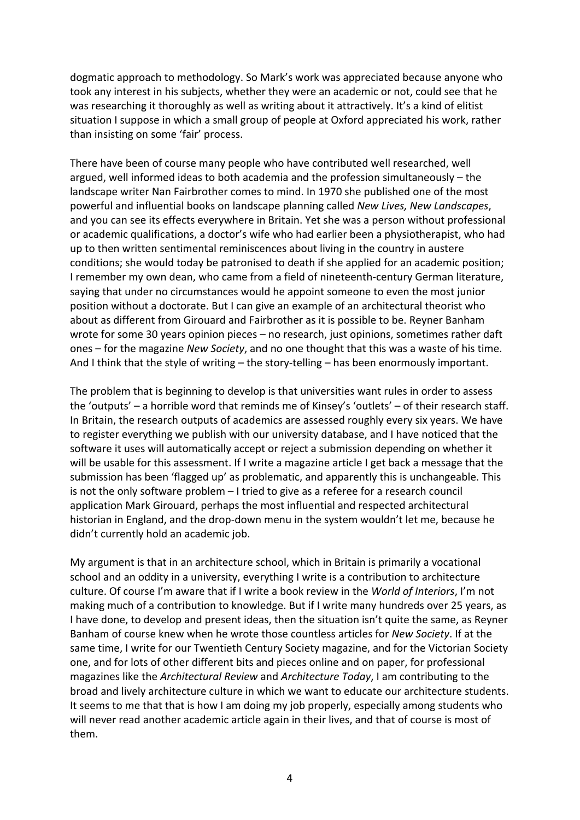dogmatic approach to methodology. So Mark's work was appreciated because anyone who took any interest in his subjects, whether they were an academic or not, could see that he was researching it thoroughly as well as writing about it attractively. It's a kind of elitist situation I suppose in which a small group of people at Oxford appreciated his work, rather than insisting on some 'fair' process.

There have been of course many people who have contributed well researched, well argued, well informed ideas to both academia and the profession simultaneously  $-$  the landscape writer Nan Fairbrother comes to mind. In 1970 she published one of the most powerful and influential books on landscape planning called *New Lives, New Landscapes*, and you can see its effects everywhere in Britain. Yet she was a person without professional or academic qualifications, a doctor's wife who had earlier been a physiotherapist, who had up to then written sentimental reminiscences about living in the country in austere conditions; she would today be patronised to death if she applied for an academic position; I remember my own dean, who came from a field of nineteenth-century German literature, saying that under no circumstances would he appoint someone to even the most junior position without a doctorate. But I can give an example of an architectural theorist who about as different from Girouard and Fairbrother as it is possible to be. Reyner Banham wrote for some 30 years opinion pieces  $-$  no research, just opinions, sometimes rather daft ones – for the magazine *New Society*, and no one thought that this was a waste of his time. And I think that the style of writing  $-$  the story-telling  $-$  has been enormously important.

The problem that is beginning to develop is that universities want rules in order to assess the 'outputs' – a horrible word that reminds me of Kinsey's 'outlets' – of their research staff. In Britain, the research outputs of academics are assessed roughly every six years. We have to register everything we publish with our university database, and I have noticed that the software it uses will automatically accept or reject a submission depending on whether it will be usable for this assessment. If I write a magazine article I get back a message that the submission has been 'flagged up' as problematic, and apparently this is unchangeable. This is not the only software problem  $-1$  tried to give as a referee for a research council application Mark Girouard, perhaps the most influential and respected architectural historian in England, and the drop-down menu in the system wouldn't let me, because he didn't currently hold an academic job.

My argument is that in an architecture school, which in Britain is primarily a vocational school and an oddity in a university, everything I write is a contribution to architecture culture. Of course I'm aware that if I write a book review in the *World of Interiors*, I'm not making much of a contribution to knowledge. But if I write many hundreds over 25 years, as I have done, to develop and present ideas, then the situation isn't quite the same, as Reyner Banham of course knew when he wrote those countless articles for *New Society*. If at the same time, I write for our Twentieth Century Society magazine, and for the Victorian Society one, and for lots of other different bits and pieces online and on paper, for professional magazines like the *Architectural Review* and *Architecture Today*, I am contributing to the broad and lively architecture culture in which we want to educate our architecture students. It seems to me that that is how I am doing my job properly, especially among students who will never read another academic article again in their lives, and that of course is most of them.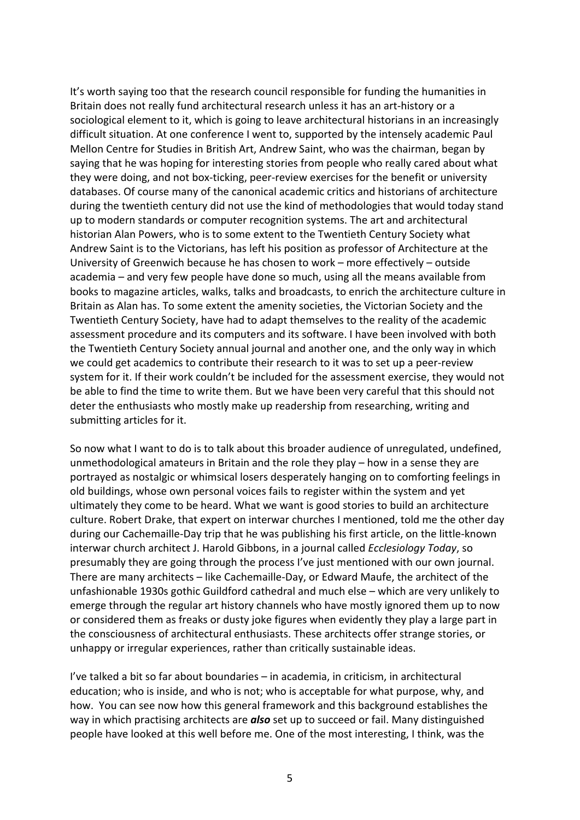It's worth saying too that the research council responsible for funding the humanities in Britain does not really fund architectural research unless it has an art-history or a sociological element to it, which is going to leave architectural historians in an increasingly difficult situation. At one conference I went to, supported by the intensely academic Paul Mellon Centre for Studies in British Art, Andrew Saint, who was the chairman, began by saying that he was hoping for interesting stories from people who really cared about what they were doing, and not box-ticking, peer-review exercises for the benefit or university databases. Of course many of the canonical academic critics and historians of architecture during the twentieth century did not use the kind of methodologies that would today stand up to modern standards or computer recognition systems. The art and architectural historian Alan Powers, who is to some extent to the Twentieth Century Society what Andrew Saint is to the Victorians, has left his position as professor of Architecture at the University of Greenwich because he has chosen to work – more effectively – outside academia – and very few people have done so much, using all the means available from books to magazine articles, walks, talks and broadcasts, to enrich the architecture culture in Britain as Alan has. To some extent the amenity societies, the Victorian Society and the Twentieth Century Society, have had to adapt themselves to the reality of the academic assessment procedure and its computers and its software. I have been involved with both the Twentieth Century Society annual journal and another one, and the only way in which we could get academics to contribute their research to it was to set up a peer-review system for it. If their work couldn't be included for the assessment exercise, they would not be able to find the time to write them. But we have been very careful that this should not deter the enthusiasts who mostly make up readership from researching, writing and submitting articles for it.

So now what I want to do is to talk about this broader audience of unregulated, undefined, unmethodological amateurs in Britain and the role they play  $-$  how in a sense they are portrayed as nostalgic or whimsical losers desperately hanging on to comforting feelings in old buildings, whose own personal voices fails to register within the system and yet ultimately they come to be heard. What we want is good stories to build an architecture culture. Robert Drake, that expert on interwar churches I mentioned, told me the other day during our Cachemaille-Day trip that he was publishing his first article, on the little-known interwar church architect J. Harold Gibbons, in a journal called *Ecclesiology Today*, so presumably they are going through the process I've just mentioned with our own journal. There are many architects – like Cachemaille-Day, or Edward Maufe, the architect of the unfashionable 1930s gothic Guildford cathedral and much else  $-$  which are very unlikely to emerge through the regular art history channels who have mostly ignored them up to now or considered them as freaks or dusty joke figures when evidently they play a large part in the consciousness of architectural enthusiasts. These architects offer strange stories, or unhappy or irregular experiences, rather than critically sustainable ideas.

I've talked a bit so far about boundaries  $-$  in academia, in criticism, in architectural education; who is inside, and who is not; who is acceptable for what purpose, why, and how. You can see now how this general framework and this background establishes the way in which practising architects are **also** set up to succeed or fail. Many distinguished people have looked at this well before me. One of the most interesting, I think, was the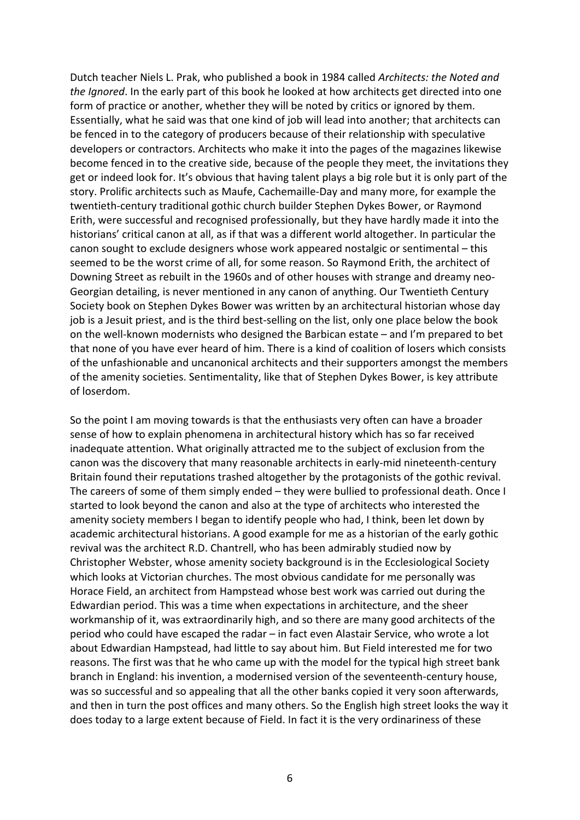Dutch teacher Niels L. Prak, who published a book in 1984 called *Architects: the Noted and the Ignored*. In the early part of this book he looked at how architects get directed into one form of practice or another, whether they will be noted by critics or ignored by them. Essentially, what he said was that one kind of job will lead into another; that architects can be fenced in to the category of producers because of their relationship with speculative developers or contractors. Architects who make it into the pages of the magazines likewise become fenced in to the creative side, because of the people they meet, the invitations they get or indeed look for. It's obvious that having talent plays a big role but it is only part of the story. Prolific architects such as Maufe, Cachemaille-Day and many more, for example the twentieth-century traditional gothic church builder Stephen Dykes Bower, or Raymond Erith, were successful and recognised professionally, but they have hardly made it into the historians' critical canon at all, as if that was a different world altogether. In particular the canon sought to exclude designers whose work appeared nostalgic or sentimental  $-$  this seemed to be the worst crime of all, for some reason. So Raymond Erith, the architect of Downing Street as rebuilt in the 1960s and of other houses with strange and dreamy neo-Georgian detailing, is never mentioned in any canon of anything. Our Twentieth Century Society book on Stephen Dykes Bower was written by an architectural historian whose day job is a Jesuit priest, and is the third best-selling on the list, only one place below the book on the well-known modernists who designed the Barbican estate – and I'm prepared to bet that none of you have ever heard of him. There is a kind of coalition of losers which consists of the unfashionable and uncanonical architects and their supporters amongst the members of the amenity societies. Sentimentality, like that of Stephen Dykes Bower, is key attribute of loserdom.

So the point I am moving towards is that the enthusiasts very often can have a broader sense of how to explain phenomena in architectural history which has so far received inadequate attention. What originally attracted me to the subject of exclusion from the canon was the discovery that many reasonable architects in early-mid nineteenth-century Britain found their reputations trashed altogether by the protagonists of the gothic revival. The careers of some of them simply ended – they were bullied to professional death. Once I started to look beyond the canon and also at the type of architects who interested the amenity society members I began to identify people who had, I think, been let down by academic architectural historians. A good example for me as a historian of the early gothic revival was the architect R.D. Chantrell, who has been admirably studied now by Christopher Webster, whose amenity society background is in the Ecclesiological Society which looks at Victorian churches. The most obvious candidate for me personally was Horace Field, an architect from Hampstead whose best work was carried out during the Edwardian period. This was a time when expectations in architecture, and the sheer workmanship of it, was extraordinarily high, and so there are many good architects of the period who could have escaped the radar – in fact even Alastair Service, who wrote a lot about Edwardian Hampstead, had little to say about him. But Field interested me for two reasons. The first was that he who came up with the model for the typical high street bank branch in England: his invention, a modernised version of the seventeenth-century house, was so successful and so appealing that all the other banks copied it very soon afterwards, and then in turn the post offices and many others. So the English high street looks the way it does today to a large extent because of Field. In fact it is the very ordinariness of these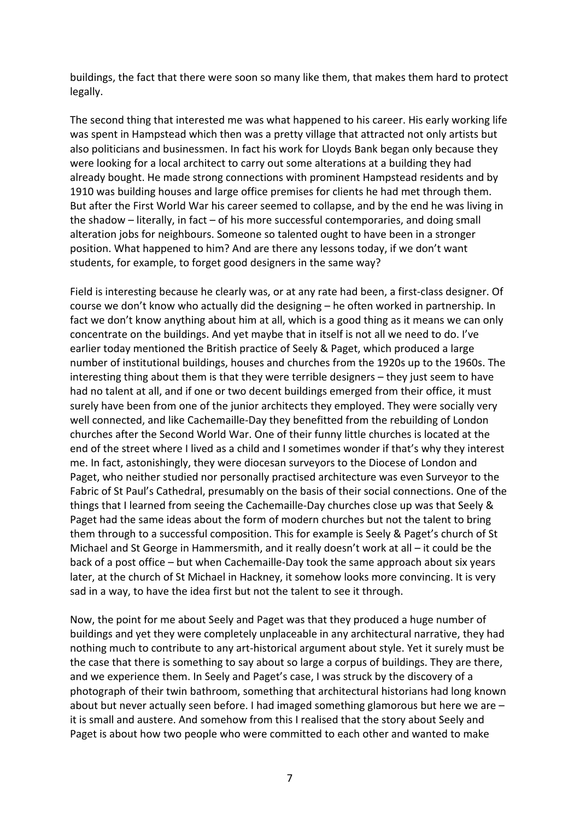buildings, the fact that there were soon so many like them, that makes them hard to protect legally.

The second thing that interested me was what happened to his career. His early working life was spent in Hampstead which then was a pretty village that attracted not only artists but also politicians and businessmen. In fact his work for Lloyds Bank began only because they were looking for a local architect to carry out some alterations at a building they had already bought. He made strong connections with prominent Hampstead residents and by 1910 was building houses and large office premises for clients he had met through them. But after the First World War his career seemed to collapse, and by the end he was living in the shadow – literally, in fact – of his more successful contemporaries, and doing small alteration jobs for neighbours. Someone so talented ought to have been in a stronger position. What happened to him? And are there any lessons today, if we don't want students, for example, to forget good designers in the same way?

Field is interesting because he clearly was, or at any rate had been, a first-class designer. Of course we don't know who actually did the designing – he often worked in partnership. In fact we don't know anything about him at all, which is a good thing as it means we can only concentrate on the buildings. And yet maybe that in itself is not all we need to do. I've earlier today mentioned the British practice of Seely & Paget, which produced a large number of institutional buildings, houses and churches from the 1920s up to the 1960s. The interesting thing about them is that they were terrible designers  $-$  they just seem to have had no talent at all, and if one or two decent buildings emerged from their office, it must surely have been from one of the junior architects they employed. They were socially very well connected, and like Cachemaille-Day they benefitted from the rebuilding of London churches after the Second World War. One of their funny little churches is located at the end of the street where I lived as a child and I sometimes wonder if that's why they interest me. In fact, astonishingly, they were diocesan surveyors to the Diocese of London and Paget, who neither studied nor personally practised architecture was even Surveyor to the Fabric of St Paul's Cathedral, presumably on the basis of their social connections. One of the things that I learned from seeing the Cachemaille-Day churches close up was that Seely & Paget had the same ideas about the form of modern churches but not the talent to bring them through to a successful composition. This for example is Seely & Paget's church of St Michael and St George in Hammersmith, and it really doesn't work at all  $-$  it could be the back of a post office – but when Cachemaille-Day took the same approach about six years later, at the church of St Michael in Hackney, it somehow looks more convincing. It is very sad in a way, to have the idea first but not the talent to see it through.

Now, the point for me about Seely and Paget was that they produced a huge number of buildings and yet they were completely unplaceable in any architectural narrative, they had nothing much to contribute to any art-historical argument about style. Yet it surely must be the case that there is something to say about so large a corpus of buildings. They are there, and we experience them. In Seely and Paget's case, I was struck by the discovery of a photograph of their twin bathroom, something that architectural historians had long known about but never actually seen before. I had imaged something glamorous but here we are  $$ it is small and austere. And somehow from this I realised that the story about Seely and Paget is about how two people who were committed to each other and wanted to make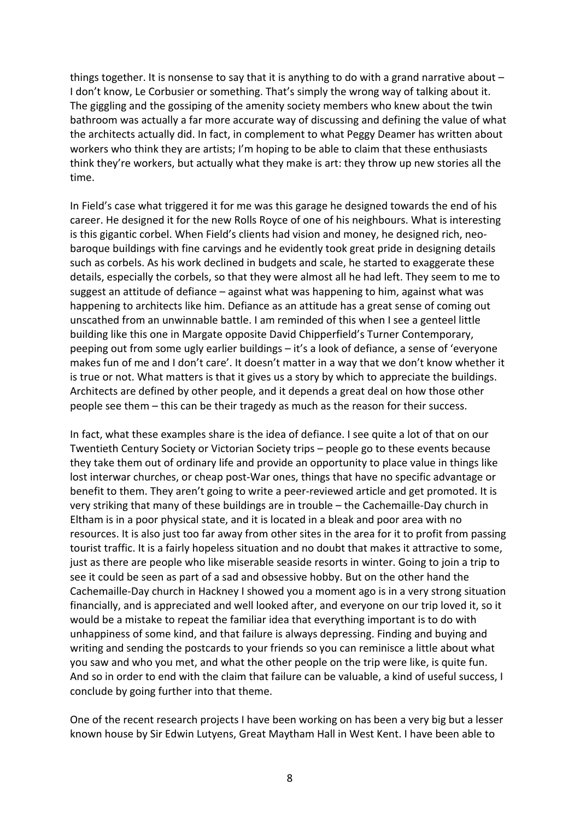things together. It is nonsense to say that it is anything to do with a grand narrative about  $-$ I don't know, Le Corbusier or something. That's simply the wrong way of talking about it. The giggling and the gossiping of the amenity society members who knew about the twin bathroom was actually a far more accurate way of discussing and defining the value of what the architects actually did. In fact, in complement to what Peggy Deamer has written about workers who think they are artists; I'm hoping to be able to claim that these enthusiasts think they're workers, but actually what they make is art: they throw up new stories all the time.

In Field's case what triggered it for me was this garage he designed towards the end of his career. He designed it for the new Rolls Royce of one of his neighbours. What is interesting is this gigantic corbel. When Field's clients had vision and money, he designed rich, neobaroque buildings with fine carvings and he evidently took great pride in designing details such as corbels. As his work declined in budgets and scale, he started to exaggerate these details, especially the corbels, so that they were almost all he had left. They seem to me to suggest an attitude of defiance  $-$  against what was happening to him, against what was happening to architects like him. Defiance as an attitude has a great sense of coming out unscathed from an unwinnable battle. I am reminded of this when I see a genteel little building like this one in Margate opposite David Chipperfield's Turner Contemporary, peeping out from some ugly earlier buildings – it's a look of defiance, a sense of 'everyone makes fun of me and I don't care'. It doesn't matter in a way that we don't know whether it is true or not. What matters is that it gives us a story by which to appreciate the buildings. Architects are defined by other people, and it depends a great deal on how those other people see them – this can be their tragedy as much as the reason for their success.

In fact, what these examples share is the idea of defiance. I see quite a lot of that on our Twentieth Century Society or Victorian Society trips – people go to these events because they take them out of ordinary life and provide an opportunity to place value in things like lost interwar churches, or cheap post-War ones, things that have no specific advantage or benefit to them. They aren't going to write a peer-reviewed article and get promoted. It is very striking that many of these buildings are in trouble - the Cachemaille-Day church in Eltham is in a poor physical state, and it is located in a bleak and poor area with no resources. It is also just too far away from other sites in the area for it to profit from passing tourist traffic. It is a fairly hopeless situation and no doubt that makes it attractive to some, just as there are people who like miserable seaside resorts in winter. Going to join a trip to see it could be seen as part of a sad and obsessive hobby. But on the other hand the Cachemaille-Day church in Hackney I showed you a moment ago is in a very strong situation financially, and is appreciated and well looked after, and everyone on our trip loved it, so it would be a mistake to repeat the familiar idea that everything important is to do with unhappiness of some kind, and that failure is always depressing. Finding and buying and writing and sending the postcards to your friends so you can reminisce a little about what you saw and who you met, and what the other people on the trip were like, is quite fun. And so in order to end with the claim that failure can be valuable, a kind of useful success, I conclude by going further into that theme.

One of the recent research projects I have been working on has been a very big but a lesser known house by Sir Edwin Lutyens, Great Maytham Hall in West Kent. I have been able to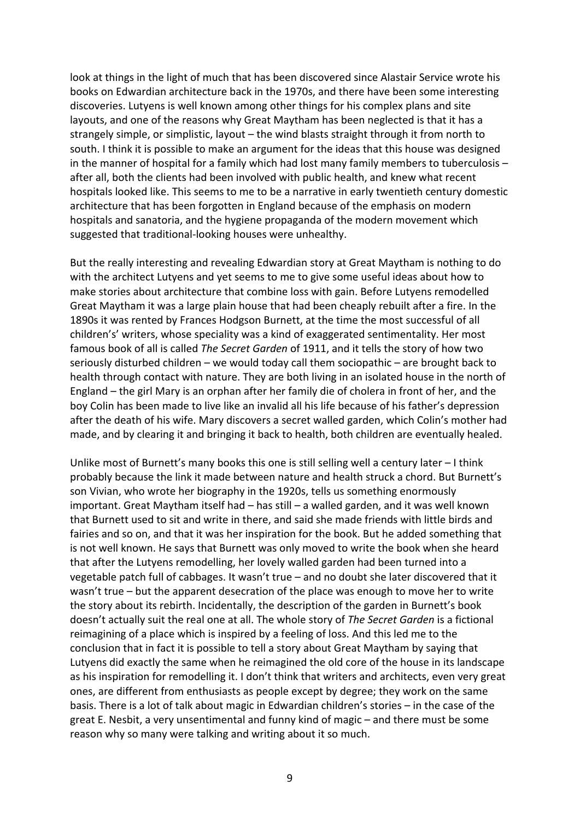look at things in the light of much that has been discovered since Alastair Service wrote his books on Edwardian architecture back in the 1970s, and there have been some interesting discoveries. Lutyens is well known among other things for his complex plans and site layouts, and one of the reasons why Great Maytham has been neglected is that it has a strangely simple, or simplistic, layout  $-$  the wind blasts straight through it from north to south. I think it is possible to make an argument for the ideas that this house was designed in the manner of hospital for a family which had lost many family members to tuberculosis  $$ after all, both the clients had been involved with public health, and knew what recent hospitals looked like. This seems to me to be a narrative in early twentieth century domestic architecture that has been forgotten in England because of the emphasis on modern hospitals and sanatoria, and the hygiene propaganda of the modern movement which suggested that traditional-looking houses were unhealthy.

But the really interesting and revealing Edwardian story at Great Maytham is nothing to do with the architect Lutyens and yet seems to me to give some useful ideas about how to make stories about architecture that combine loss with gain. Before Lutyens remodelled Great Maytham it was a large plain house that had been cheaply rebuilt after a fire. In the 1890s it was rented by Frances Hodgson Burnett, at the time the most successful of all children's' writers, whose speciality was a kind of exaggerated sentimentality. Her most famous book of all is called *The Secret Garden* of 1911, and it tells the story of how two seriously disturbed children – we would today call them sociopathic – are brought back to health through contact with nature. They are both living in an isolated house in the north of England  $-$  the girl Mary is an orphan after her family die of cholera in front of her, and the boy Colin has been made to live like an invalid all his life because of his father's depression after the death of his wife. Mary discovers a secret walled garden, which Colin's mother had made, and by clearing it and bringing it back to health, both children are eventually healed.

Unlike most of Burnett's many books this one is still selling well a century later  $-1$  think probably because the link it made between nature and health struck a chord. But Burnett's son Vivian, who wrote her biography in the 1920s, tells us something enormously important. Great Maytham itself had – has still – a walled garden, and it was well known that Burnett used to sit and write in there, and said she made friends with little birds and fairies and so on, and that it was her inspiration for the book. But he added something that is not well known. He says that Burnett was only moved to write the book when she heard that after the Lutyens remodelling, her lovely walled garden had been turned into a vegetable patch full of cabbages. It wasn't true  $-$  and no doubt she later discovered that it wasn't true – but the apparent desecration of the place was enough to move her to write the story about its rebirth. Incidentally, the description of the garden in Burnett's book doesn't actually suit the real one at all. The whole story of *The Secret Garden* is a fictional reimagining of a place which is inspired by a feeling of loss. And this led me to the conclusion that in fact it is possible to tell a story about Great Maytham by saying that Lutyens did exactly the same when he reimagined the old core of the house in its landscape as his inspiration for remodelling it. I don't think that writers and architects, even very great ones, are different from enthusiasts as people except by degree; they work on the same basis. There is a lot of talk about magic in Edwardian children's stories – in the case of the great  $E$ . Nesbit, a very unsentimental and funny kind of magic  $-\frac{1}{2}$  and there must be some reason why so many were talking and writing about it so much.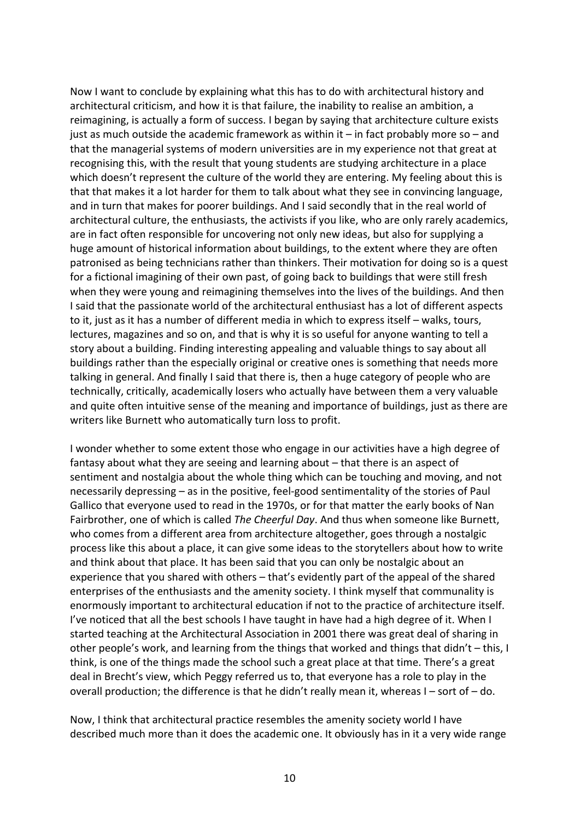Now I want to conclude by explaining what this has to do with architectural history and architectural criticism, and how it is that failure, the inability to realise an ambition, a reimagining, is actually a form of success. I began by saying that architecture culture exists just as much outside the academic framework as within it – in fact probably more so – and that the managerial systems of modern universities are in my experience not that great at recognising this, with the result that young students are studying architecture in a place which doesn't represent the culture of the world they are entering. My feeling about this is that that makes it a lot harder for them to talk about what they see in convincing language, and in turn that makes for poorer buildings. And I said secondly that in the real world of architectural culture, the enthusiasts, the activists if you like, who are only rarely academics, are in fact often responsible for uncovering not only new ideas, but also for supplying a huge amount of historical information about buildings, to the extent where they are often patronised as being technicians rather than thinkers. Their motivation for doing so is a quest for a fictional imagining of their own past, of going back to buildings that were still fresh when they were young and reimagining themselves into the lives of the buildings. And then I said that the passionate world of the architectural enthusiast has a lot of different aspects to it, just as it has a number of different media in which to express itself – walks, tours, lectures, magazines and so on, and that is why it is so useful for anyone wanting to tell a story about a building. Finding interesting appealing and valuable things to say about all buildings rather than the especially original or creative ones is something that needs more talking in general. And finally I said that there is, then a huge category of people who are technically, critically, academically losers who actually have between them a very valuable and quite often intuitive sense of the meaning and importance of buildings, just as there are writers like Burnett who automatically turn loss to profit.

I wonder whether to some extent those who engage in our activities have a high degree of fantasy about what they are seeing and learning about  $-$  that there is an aspect of sentiment and nostalgia about the whole thing which can be touching and moving, and not necessarily depressing – as in the positive, feel-good sentimentality of the stories of Paul Gallico that everyone used to read in the 1970s, or for that matter the early books of Nan Fairbrother, one of which is called *The Cheerful Day*. And thus when someone like Burnett, who comes from a different area from architecture altogether, goes through a nostalgic process like this about a place, it can give some ideas to the storytellers about how to write and think about that place. It has been said that you can only be nostalgic about an experience that you shared with others – that's evidently part of the appeal of the shared enterprises of the enthusiasts and the amenity society. I think myself that communality is enormously important to architectural education if not to the practice of architecture itself. I've noticed that all the best schools I have taught in have had a high degree of it. When I started teaching at the Architectural Association in 2001 there was great deal of sharing in other people's work, and learning from the things that worked and things that  $d$ idn't – this, I think, is one of the things made the school such a great place at that time. There's a great deal in Brecht's view, which Peggy referred us to, that everyone has a role to play in the overall production; the difference is that he didn't really mean it, whereas  $I -$  sort of  $-$  do.

Now, I think that architectural practice resembles the amenity society world I have described much more than it does the academic one. It obviously has in it a very wide range